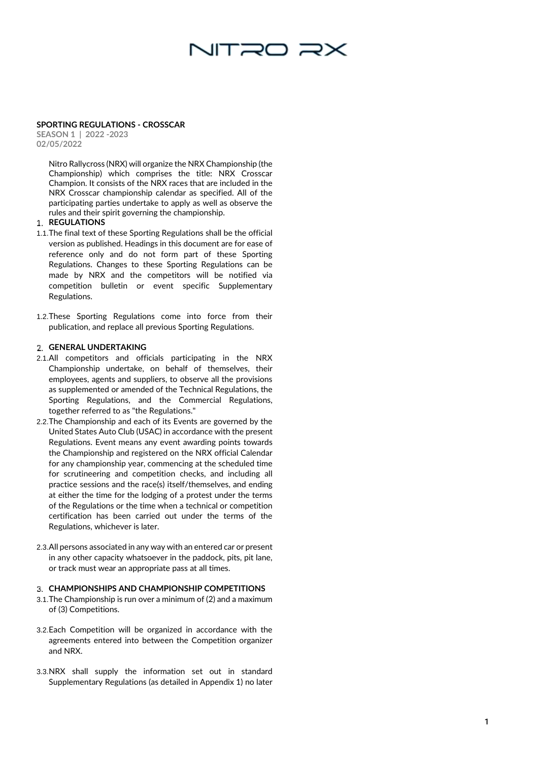# NITRO RX

#### **SPORTING REGULATIONS - CROSSCAR**

**SEASON 1 | 2022 -2023 02/0 5/2022**

> Nitro Rallycross (NRX) will organize the NRX Championship (the Championship) which comprises the title: NRX Crosscar Champion. It consists of the NRX races that are included in the NRX Crosscar championship calendar as specified. All of the participating parties undertake to apply as well as observe the rules and their spirit governing the championship.

## **REGULATIONS**

- 1.1.The final text of these Sporting Regulations shall be the official version as published. Headings in this document are for ease of reference only and do not form part of these Sporting Regulations. Changes to these Sporting Regulations can be made by NRX and the competitors will be notified via competition bulletin or event specific Supplementary Regulations.
- 1.2.These Sporting Regulations come into force from their publication, and replace all previous Sporting Regulations.

## **GENERAL UNDERTAKING**

- 2.1.All competitors and officials participating in the NRX Championship undertake, on behalf of themselves, their employees, agents and suppliers, to observe all the provisions as supplemented or amended of the Technical Regulations, the Sporting Regulations, and the Commercial Regulations, together referred to as "the Regulations."
- 1 2.2.The Championship and each of its Events are governed by the United States Auto Club (USAC) in accordance with the present Regulations. Event means any event awarding points towards the Championship and registered on the NRX official Calendar for any championship year, commencing at the scheduled time for scrutineering and competition checks, and including all practice sessions and the race(s) itself/themselves, and ending at either the time for the lodging of a protest under the terms of the Regulations or the time when a technical or competition certification has been carried out under the terms of the Regulations, whichever is later.
- 2.3.All persons associated in any way with an entered car or present in any other capacity whatsoever in the paddock, pits, pit lane, or track must wear an appropriate pass at all times.

# **CHAMPIONSHIPS AND CHAMPIONSHIP COMPETITIONS**

- 3.1.The Championship is run over a minimum of (2) and a maximum of (3) Competitions.
- 3.2.Each Competition will be organized in accordance with the agreements entered into between the Competition organizer and NRX.
- 3.3.NRX shall supply the information set out in standard Supplementary Regulations (as detailed in Appendix 1) no later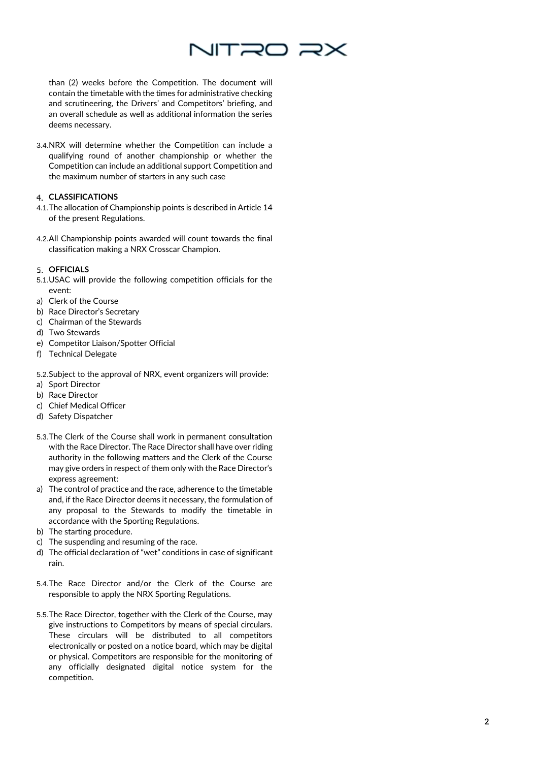

than (2) weeks before the Competition. The document will contain the timetable with the times for administrative checking and scrutineering, the Drivers' and Competitors' briefing, and an overall schedule as well as additional information the series deems necessary.

3.4.NRX will determine whether the Competition can include a qualifying round of another championship or whether the Competition can include an additional support Competition and the maximum number of starters in any such case

# **CLASSIFICATIONS**

- 4.1.The allocation of Championship points is described in Article 14 of the present Regulations.
- 4.2.All Championship points awarded will count towards the final classification making a NRX Crosscar Champion.

## **OFFICIALS**

- 5.1.USAC will provide the following competition officials for the event:
- a) Clerk of the Course
- b) Race Director's Secretary
- c) Chairman of the Stewards
- d) Two Stewards
- e) Competitor Liaison/Spotter Official
- f) Technical Delegate
- 5.2.Subject to the approval of NRX, event organizers will provide:
- a) Sport Director
- b) Race Director
- c) Chief Medical Officer
- d) Safety Dispatcher
- 5.3.The Clerk of the Course shall work in permanent consultation with the Race Director. The Race Director shall have over riding authority in the following matters and the Clerk of the Course may give orders in respect of them only with the Race Director's express agreement:
- a) The control of practice and the race, adherence to the timetable and, if the Race Director deems it necessary, the formulation of any proposal to the Stewards to modify the timetable in accordance with the Sporting Regulations.
- b) The starting procedure.
- c) The suspending and resuming of the race.
- d) The official declaration of "wet" conditions in case of significant rain.
- 5.4.The Race Director and/or the Clerk of the Course are responsible to apply the NRX Sporting Regulations.
- 5.5.The Race Director, together with the Clerk of the Course, may give instructions to Competitors by means of special circulars. These circulars will be distributed to all competitors electronically or posted on a notice board, which may be digital or physical. Competitors are responsible for the monitoring of any officially designated digital notice system for the competition.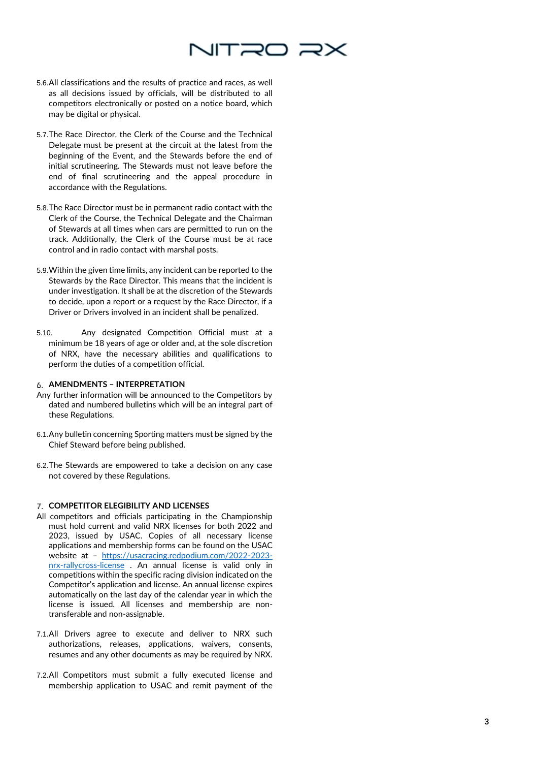# NITRO R>

- 5.6.All classifications and the results of practice and races, as well as all decisions issued by officials, will be distributed to all competitors electronically or posted on a notice board, which may be digital or physical.
- 5.7.The Race Director, the Clerk of the Course and the Technical Delegate must be present at the circuit at the latest from the beginning of the Event, and the Stewards before the end of initial scrutineering. The Stewards must not leave before the end of final scrutineering and the appeal procedure in accordance with the Regulations.
- 5.8.The Race Director must be in permanent radio contact with the Clerk of the Course, the Technical Delegate and the Chairman of Stewards at all times when cars are permitted to run on the track. Additionally, the Clerk of the Course must be at race control and in radio contact with marshal posts.
- 5.9.Within the given time limits, any incident can be reported to the Stewards by the Race Director. This means that the incident is under investigation. It shall be at the discretion of the Stewards to decide, upon a report or a request by the Race Director, if a Driver or Drivers involved in an incident shall be penalized.
- 5.10. Any designated Competition Official must at a minimum be 18 years of age or older and, at the sole discretion of NRX, have the necessary abilities and qualifications to perform the duties of a competition official.

# **AMENDMENTS – INTERPRETATION**

- Any further information will be announced to the Competitors by dated and numbered bulletins which will be an integral part of these Regulations.
- 6.1.Any bulletin concerning Sporting matters must be signed by the Chief Steward before being published.
- 6.2.The Stewards are empowered to take a decision on any case not covered by these Regulations.

#### **COMPETITOR ELEGIBILITY AND LICENSE S**

- All competitors and officials participating in the Championship must hold current and valid NRX licenses for both 2022 and 2023, issued by USAC. Copies of all necessary license applications and membership forms can be found on the USAC website at – <u>[https://usacracing.redpodium.com/2022](https://usacracing.redpodium.com/2022-2023-nrx-rallycross-license)-2023-</u> nrx[-rallycross](https://usacracing.redpodium.com/2022-2023-nrx-rallycross-license)-license . An annual license is valid only in competitions within the specific racing division indicated on the Competitor's application and license. An annual license expires automatically on the last day of the calendar year in which the license is issued. All licenses and membership are non transferable and non -assignable.
- 7.1.All Drivers agree to execute and deliver to NRX such authorizations, releases, applications, waivers, consents, resumes and any other documents as may be required by NRX.
- 7.2.All Competitors must submit a fully executed license and membership application to USAC and remit payment of the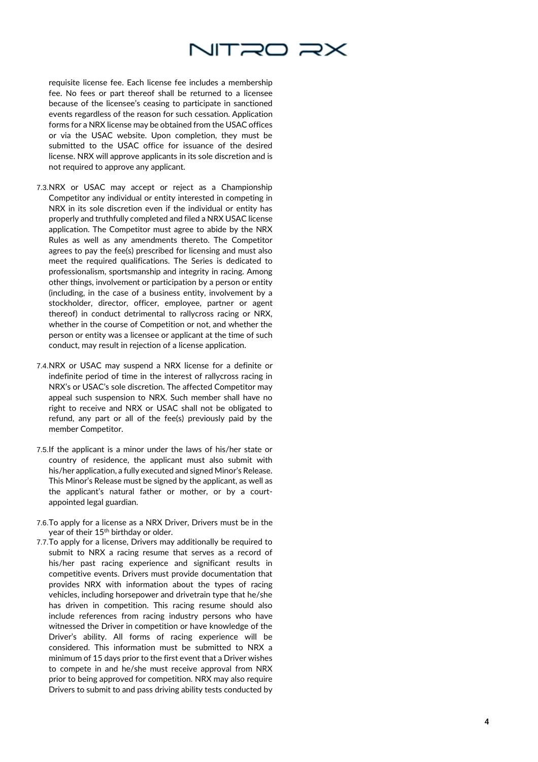

requisite license fee. Each license fee includes a membership fee. No fees or part thereof shall be returned to a licensee because of the licensee's ceasing to participate in sanctioned events regardless of the reason for such cessation. Application forms for a NRX license may be obtained from the USAC offices or via the USAC website. Upon completion, they must be submitted to the USAC office for issuance of the desired license. NRX will approve applicants in its sole discretion and is not required to approve any applicant.

- 7.3.NRX or USAC may accept or reject as a Championship Competitor any individual or entity interested in competing in NRX in its sole discretion even if the individual or entity has properly and truthfully completed and filed a NRX USAC license application. The Competitor must agree to abide by the NRX Rules as well as any amendments thereto. The Competitor agrees to pay the fee(s) prescribed for licensing and must also meet the required qualifications. The Series is dedicated to professionalism, sportsmanship and integrity in racing. Among other things, involvement or participation by a person or entity (including, in the case of a business entity, involvement by a stockholder, director, officer, employee, partner or agent thereof) in conduct detrimental to rallycross racing or NRX, whether in the course of Competition or not, and whether the person or entity was a licensee or applicant at the time of such conduct, may result in rejection of a license application.
- 7.4.NRX or USAC may suspend a NRX license for a definite or indefinite period of time in the interest of rallycross racing in NRX's or USAC's sole discretion. The affected Competitor may appeal such suspension to NRX. Such member shall have no right to receive and NRX or USAC shall not be obligated to refund, any part or all of the fee(s) previously paid by the member Competitor.
- 7.5.If the applicant is a minor under the laws of his/her state or country of residence, the applicant must also submit with his/her application, a fully executed and signed Minor's Release. This Minor's Release must be signed by the applicant, as well as the applicant's natural father or mother, or by a court appointed legal guardian.
- 7.6.To apply for a license as a NRX Driver, Drivers must be in the year of their 15<sup>th</sup> birthday or older.
- 7.7.To apply for a license, Drivers may additionally be required to submit to NRX a racing resume that serves as a record of his/her past racing experience and significant results in competitive events. Drivers must provide documentation that provides NRX with information about the types of racing vehicles, including horsepower and drivetrain type that he/she has driven in competition. This racing resume should also include references from racing industry persons who have witnessed the Driver in competition or have knowledge of the Driver's ability. All forms of racing experience will be considered. This information must be submitted to NRX a minimum of 15 days prior to the first event that a Driver wishes to compete in and he/she must receive approval from NRX prior to being approved for competition. NRX may also require Drivers to submit to and pass driving ability tests conducted by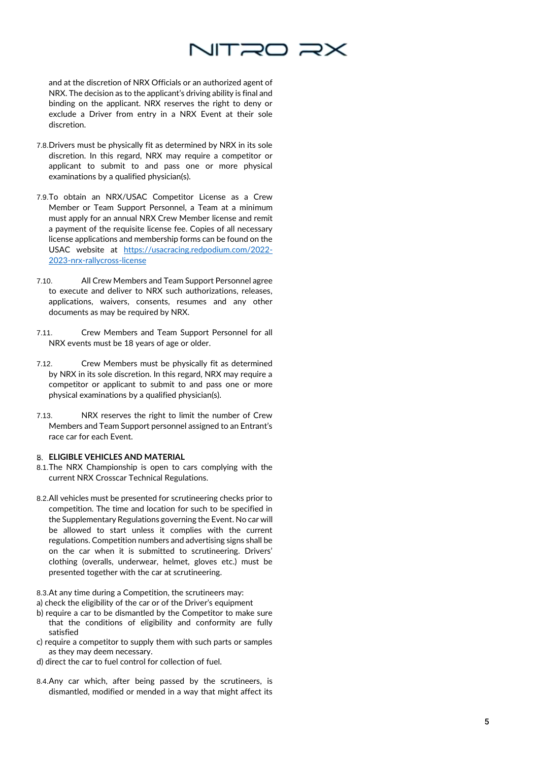

and at the discretion of NRX Officials or an authorized agent of NRX. The decision as to the applicant's driving ability is final and binding on the applicant. NRX reserves the right to deny or exclude a Driver from entry in a NRX Event at their sole discretion.

- 7.8.Drivers must be physically fit as determined by NRX in its sole discretion. In this regard, NRX may require a competitor or applicant to submit to and pass one or more physical examinations by a qualified physician(s).
- 7.9.To obtain an NRX/USAC Competitor License as a Crew Member or Team Support Personnel, a Team at a minimum must apply for an annual NRX Crew Member license and remit a payment of the requisite license fee. Copies of all necessary license applications and membership forms can be found on the USAC website at <u>[https://usacracing.redpodium.com/2022](https://usacracing.redpodium.com/2022-2023-nrx-rallycross-license)-</u> 2023 -nrx [-rallycross](https://usacracing.redpodium.com/2022-2023-nrx-rallycross-license) -license
- 7.10. All Crew Members and Team Support Personnel agree to execute and deliver to NRX such authorizations, releases, applications, waivers, consents, resumes and any other documents as may be required by NRX.
- 7.11. Crew Members and Team Support Personnel for all NRX events must be 18 years of age or older.
- 7.12. Crew Members must be physically fit as determined by NRX in its sole discretion. In this regard, NRX may require a competitor or applicant to submit to and pass one or more physical examinations by a qualified physician(s).
- 7.13. NRX reserves the right to limit the number of Crew Members and Team Support personnel assigned to an Entrant's race car for each Event.

## **ELIGIBLE VEHICLES AND MATERIAL**

- 8.1.The NRX Championship is open to cars complying with the current NRX Crosscar Technical Regulations.
- 8.2.All vehicles must be presented for scrutineering checks prior to competition. The time and location for such to be specified in the Supplementary Regulations governing the Event. No car will be allowed to start unless it complies with the current regulations. Competition numbers and advertising signs shall be on the car when it is submitted to scrutineering. Drivers' clothing (overalls, underwear, helmet, gloves etc.) must be presented together with the car at scrutineering.
- 8.3.At any time during a Competition, the scrutineers may:
- a) check the eligibility of the car or of the Driver's equipment
- b) require a car to be dismantled by the Competitor to make sure that the conditions of eligibility and conformity are fully satisfied
- c) require a competitor to supply them with such parts or samples as they may deem necessary.
- d) direct the car to fuel control for collection of fuel.
- 8.4.Any car which, after being passed by the scrutineers, is dismantled, modified or mended in a way that might affect its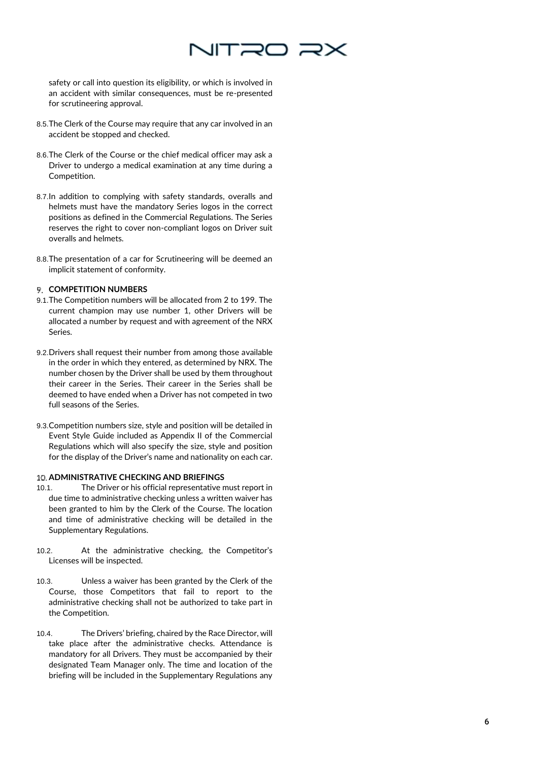

safety or call into question its eligibility, or which is involved in an accident with similar consequences, must be re -presented for scrutineering approval.

- 8.5.The Clerk of the Course may require that any car involved in an accident be stopped and checked.
- 8.6.The Clerk of the Course or the chief medical officer may ask a Driver to undergo a medical examination at any time during a Competition.
- 8.7.In addition to complying with safety standards, overalls and helmets must have the mandatory Series logos in the correct positions as defined in the Commercial Regulations. The Series reserves the right to cover non -compliant logos on Driver suit overalls and helmets.
- 8.8.The presentation of a car for Scrutineering will be deemed an implicit statement of conformity.

# **P. COMPETITION NUMBERS**

- 9.1.The Competition numbers will be allocated from 2 to 199. The current champion may use number 1, other Drivers will be allocated a number by request and with agreement of the NRX Series.
- 9.2.Drivers shall request their number from among those available in the order in which they entered, as determined by NRX. The number chosen by the Driver shall be used by them throughout their career in the Series. Their career in the Series shall be deemed to have ended when a Driver has not competed in two full seasons of the Series.
- 9.3.Competition numbers size, style and position will be detailed in Event Style Guide included as Appendix II of the Commercial Regulations which will also specify the size, style and position for the display of the Driver's name and nationality on each car.

## **ADMINISTRATIVE CHECKING AND BRIEFINGS**

- 10.1. The Driver or his official representative must report in due time to administrative checking unless a written waiver has been granted to him by the Clerk of the Course. The location and time of administrative checking will be detailed in the Supplementary Regulations.
- 10.2. At the administrative checking, the Competitor's Licenses will be inspected.
- 10.3. Unless a waiver has been granted by the Clerk of the Course, those Competitors that fail to report to the administrative checking shall not be authorized to take part in the Competition.
- 10.4. The Drivers' briefing, chaired by the Race Director, will take place after the administrative checks. Attendance is mandatory for all Drivers. They must be accompanied by their designated Team Manager only. The time and location of the briefing will be included in the Supplementary Regulations any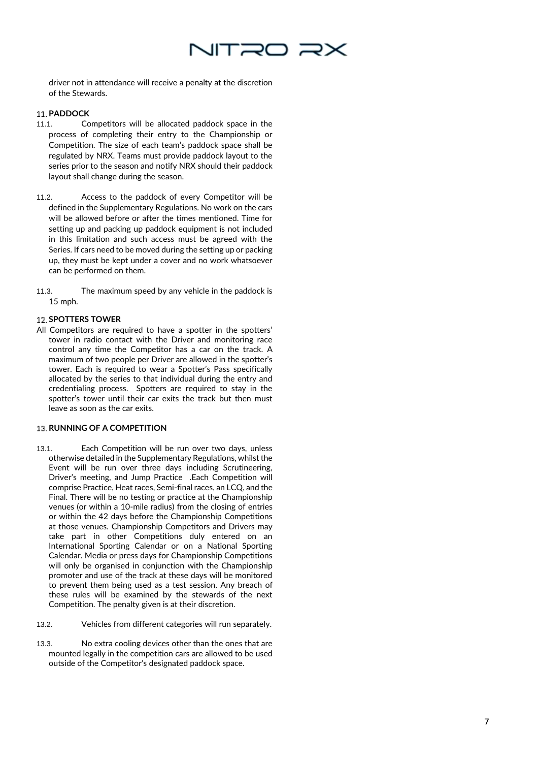

driver not in attendance will receive a penalty at the discretion of the Stewards.

# **PADDOCK**

- 11.1. Competitors will be allocated paddock space in the process of completing their entry to the Championship or Competition. The size of each team's paddock space shall be regulated by NRX. Teams must provide paddock layout to the series prior to the season and notify NRX should their paddock layout shall change during the season.
- 11.2. Access to the paddock of every Competitor will be defined in the Supplementary Regulations. No work on the cars will be allowed before or after the times mentioned. Time for setting up and packing up paddock equipment is not included in this limitation and such access must be agreed with the Series. If cars need to be moved during the setting up or packing up, they must be kept under a cover and no work whatsoever can be performed on them.
- 11.3. The maximum speed by any vehicle in the paddock is 15 mph.

## **12. SPOTTERS TOWER**

All Competitors are required to have a spotter in the spotters' tower in radio contact with the Driver and monitoring race control any time the Competitor has a car on the track. A maximum of two people per Driver are allowed in the spotter's tower. Each is required to wear a Spotter's Pass specifically allocated by the series to that individual during the entry and credentialing process. Spotters are required to stay in the spotter's tower until their car exits the track but then must leave as soon as the car exits.

## **13. RUNNING OF A COMPETITION**

- 13.1. Each Competition will be run over two days, unless otherwise detailed in the Supplementary Regulations, whilst the Event will be run over three days including Scrutineering, Driver's meeting, and Jump Practice .Each Competition will comprise Practice, Heat races, Semi -final races, an LCQ, and the Final. There will be no testing or practice at the Championship venues (or within a 10 -mile radius) from the closing of entries or within the 42 days before the Championship Competitions at those venues. Championship Competitors and Drivers may take part in other Competitions duly entered on an International Sporting Calendar or on a National Sporting Calendar. Media or press days for Championship Competitions will only be organised in conjunction with the Championship promoter and use of the track at these days will be monitored to prevent them being used as a test session. Any breach of these rules will be examined by the stewards of the next Competition. The penalty given is at their discretion.
- 13.2. Vehicles from different categories will run separately.
- 13.3. No extra cooling devices other than the ones that are mounted legally in the competition cars are allowed to be used outside of the Competitor's designated paddock space.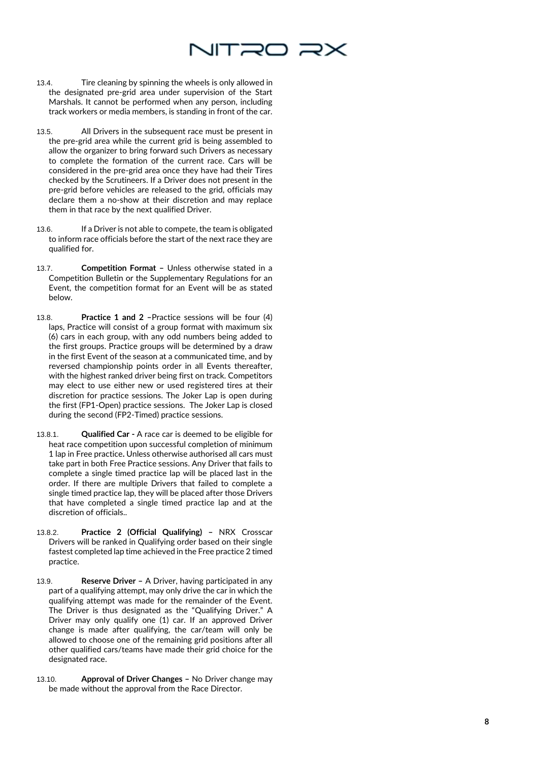

- 13.4. Tire cleaning by spinning the wheels is only allowed in the designated pre -grid area under supervision of the Start Marshals. It cannot be performed when any person, including track workers or media members, is standing in front of the car.
- 13.5. All Drivers in the subsequent race must be present in the pre -grid area while the current grid is being assembled to allow the organizer to bring forward such Drivers as necessary to complete the formation of the current race. Cars will be considered in the pre -grid area once they have had their Tires checked by the Scrutineers. If a Driver does not present in the pre -grid before vehicles are released to the grid, officials may declare them a no -show at their discretion and may replace them in that race by the next qualified Driver.
- 13.6. If a Driver is not able to compete, the team is obligated to inform race officials before the start of the next race they are qualified for.
- 13.7. **Competition Format –** Unless otherwise stated in a Competition Bulletin or the Supplementary Regulations for an Event, the competition format for an Event will be as stated below.
- 13.8. **Practice 1 and 2** Practice sessions will be four (4) laps, Practice will consist of a group format with maximum six (6) cars in each group, with any odd numbers being added to the first groups. Practice groups will be determined by a draw in the first Event of the season at a communicated time, and by reversed championship points order in all Events thereafter, with the highest ranked driver being first on track. Competitors may elect to use either new or used registered tires at their discretion for practice sessions. The Joker Lap is open during the first (FP1 -Open) practice sessions. The Joker Lap is closed during the second (FP2 -Timed) practice sessions.
- 13.8.1. **Qualified Car -** A race car is deemed to be eligible for heat race competition upon successful completion of minimum 1 lap in Free practice**.** Unless otherwise authorised all cars must take part in both Free Practice sessions. Any Driver that fails to complete a single timed practice lap will be placed last in the order. If there are multiple Drivers that failed to complete a single timed practice lap, they will be placed after those Drivers that have completed a single timed practice lap and at the discretion of officials..
- 13.8.2. **Practice 2 (Official Qualifying) –** NRX Crosscar Drivers will be ranked in Qualifying order based on their single fastest completed lap time achieved in the Free practice 2 timed practice.
- 13.9. **Reserve Driver –** A Driver, having participated in any part of a qualifying attempt, may only drive the car in which the qualifying attempt was made for the remainder of the Event. The Driver is thus designated as the "Qualifying Driver." A Driver may only qualify one (1) car. If an approved Driver change is made after qualifying, the car/team will only be allowed to choose one of the remaining grid positions after all other qualified cars/teams have made their grid choice for the designated race.
- 13.10. **Approval of Driver Changes –** No Driver change may be made without the approval from the Race Director.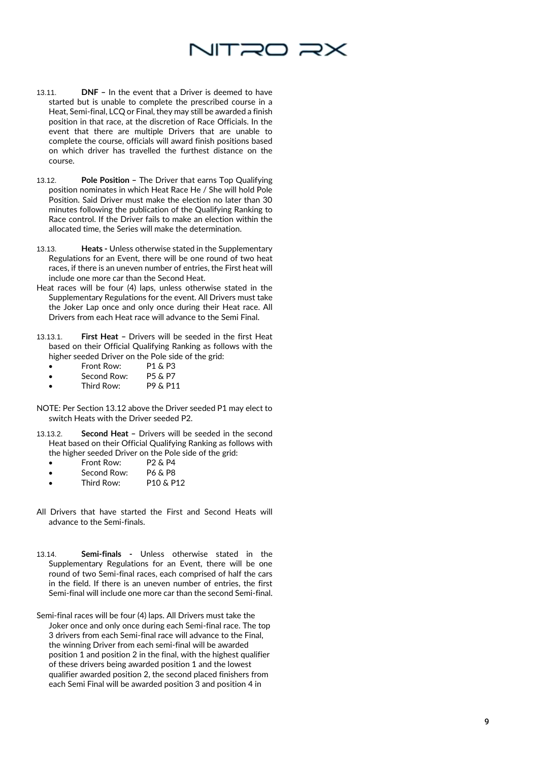# NITRO R>

- 13.11. **DNF –** In the event that a Driver is deemed to have started but is unable to complete the prescribed course in a Heat, Semi -final, LCQ or Final, they may still be awarded a finish position in that race, at the discretion of Race Officials. In the event that there are multiple Drivers that are unable to complete the course, officials will award finish positions based on which driver has travelled the furthest distance on the course.
- 13.12. **Pole Position –** The Driver that earns Top Qualifying position nominates in which Heat Race He / She will hold Pole Position. Said Driver must make the election no later than 30 minutes following the publication of the Qualifying Ranking to Race control. If the Driver fails to make an election within the allocated time, the Series will make the determination.
- 13.13. **Heats -** Unless otherwise stated in the Supplementary Regulations for an Event, there will be one round of two heat races, if there is an uneven number of entries, the First heat will include one more car than the Second Heat.
- Heat races will be four (4) laps, unless otherwise stated in the Supplementary Regulations for the event. All Drivers must take the Joker Lap once and only once during their Heat race. All Drivers from each Heat race will advance to the Semi Final.
- 13.13.1. **First Heat –** Drivers will be seeded in the first Heat based on their Official Qualifying Ranking as follows with the higher seeded Driver on the Pole side of the grid:
	- Front Row: P1 & P3
	- Second Row: P5 & P7
	- Third Row: P9 & P11
- NOTE: Per Section 13.12 above the Driver seeded P1 may elect to switch Heats with the Driver seeded P2.
- 13.13.2. **Second Heat –** Drivers will be seeded in the second Heat based on their Official Qualifying Ranking as follows with the higher seeded Driver on the Pole side of the grid:
	- Front Row: P2 & P4<br>• Second Row: P6 & P8
	- Second Row:
	- Third Row: P10 & P12
- All Drivers that have started the First and Second Heats will advance to the Semi -finals.
- 13.14. **Semi -finals -** Unless otherwise stated in the Supplementary Regulations for an Event, there will be one round of two Semi -final races, each comprised of half the cars in the field. If there is an uneven number of entries, the first Semi -final will include one more car than the second Semi -final.
- Semi -final races will be four (4) laps. All Drivers must take the Joker once and only once during each Semi -final race. The top 3 drivers from each Semi -final race will advance to the Final, the winning Driver from each semi -final will be awarded position 1 and position 2 in the final, with the highest qualifier of these drivers being awarded position 1 and the lowest qualifier awarded position 2, the second placed finishers from each Semi Final will be awarded position 3 and position 4 in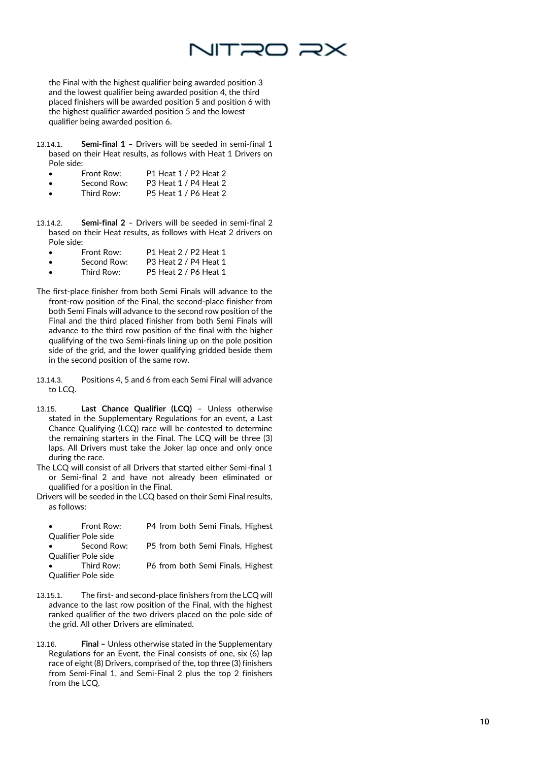

the Final with the highest qualifier being awarded position 3 and the lowest qualifier being awarded position 4, the third placed finishers will be awarded position 5 and position 6 with the highest qualifier awarded position 5 and the lowest qualifier being awarded position 6.

- 13.14.1. **Semi -final 1 –** Drivers will be seeded in semi -final 1 based on their Heat results, as follows with Heat 1 Drivers on
	- Pole side:<br>• Front Row: Front Row: P1 Heat 1 / P2 Heat 2<br>Second Row: P3 Heat 1 / P4 Heat 2
	- Second Row: P3 Heat 1 / P4 Heat 2<br>• Third Row: P5 Heat 1 / P6 Heat 2
	- P5 Heat 1 / P6 Heat 2
- 13.14.2. **-final 2** – Drivers will be seeded in semi -final 2 based on their Heat results, as follows with Heat 2 drivers on Pole side:

| Front Row:  | P1 Heat 2 / P2 Heat 1 |
|-------------|-----------------------|
| Second Row: | P3 Heat 2 / P4 Heat 1 |

| Third Row: | P5 Heat 2 / P6 Heat 1 |
|------------|-----------------------|
|            |                       |

- The first -place finisher from both Semi Finals will advance to the front -row position of the Final, the second -place finisher from both Semi Finals will advance to the second row position of the Final and the third placed finisher from both Semi Finals will advance to the third row position of the final with the higher qualifying of the two Semi -finals lining up on the pole position side of the grid, and the lower qualifying gridded beside them in the second position of the same row.
- 13.14.3. Positions 4, 5 and 6 from each Semi Final will advance to LCQ.
- 13.15. **Last Chance Qualifier (LCQ)** Unless otherwise stated in the Supplementary Regulations for an event, a Last Chance Qualifying (LCQ) race will be contested to determine the remaining starters in the Final. The LCQ will be three (3) laps. All Drivers must take the Joker lap once and only once during the race.

The LCQ will consist of all Drivers that started either Semi -final 1 or Semi -final 2 and have not already been eliminated or qualified for a position in the Final.

Drivers will be seeded in the LCQ based on their Semi Final results, as follows:

| $\bullet$               | Front Row:          | P4 from both Semi Finals, Highest |
|-------------------------|---------------------|-----------------------------------|
|                         | Qualifier Pole side |                                   |
| $\bullet$               | Second Row:         | P5 from both Semi Finals, Highest |
| Qualifier Pole side     |                     |                                   |
| $\bullet$ and $\bullet$ | Third Row:          | P6 from both Semi Finals, Highest |
| Qualifier Pole side     |                     |                                   |

- 13.15.1. The first and second -place finishers from the LCQ will advance to the last row position of the Final, with the highest ranked qualifier of the two drivers placed on the pole side of the grid. All other Drivers are eliminated.
- 13.16. **Final Unless otherwise stated in the Supplementary** Regulations for an Event, the Final consists of one, six (6) lap race of eight (8) Drivers, comprised of the, top three (3) finishers from Semi -Final 1, and Semi -Final 2 plus the top 2 finishers from the LCQ.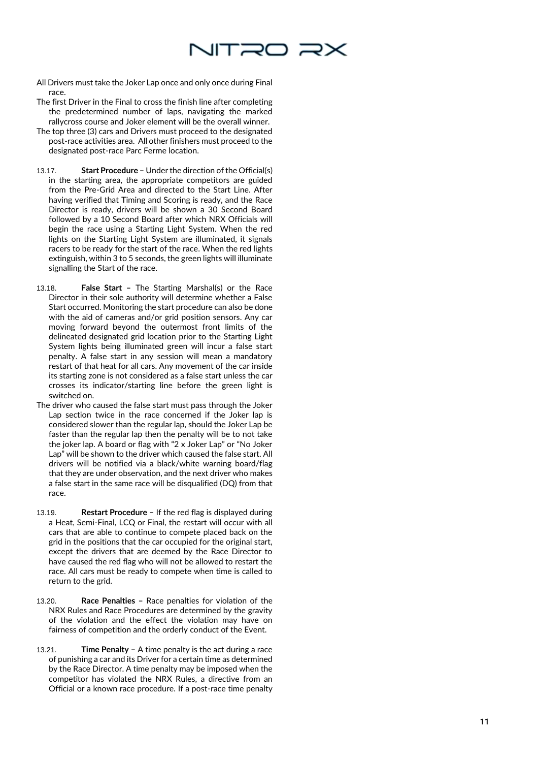

- All Drivers must take the Joker Lap once and only once during Final race.
- The first Driver in the Final to cross the finish line after completing the predetermined number of laps, navigating the marked rallycross course and Joker element will be the overall winner.
- The top three (3) cars and Drivers must proceed to the designated post -race activities area. All other finishers must proceed to the designated post -race Parc Ferme location.
- 13.17. **Start Procedure –** Under the direction of the Official(s) in the starting area, the appropriate competitors are guided from the Pre -Grid Area and directed to the Start Line. After having verified that Timing and Scoring is ready, and the Race Director is ready, drivers will be shown a 30 Second Board followed by a 10 Second Board after which NRX Officials will begin the race using a Starting Light System. When the red lights on the Starting Light System are illuminated, it signals racers to be ready for the start of the race. When the red lights extinguish, within 3 to 5 seconds, the green lights will illuminate signalling the Start of the race.
- 13.18. **False Start -** The Starting Marshal(s) or the Race Director in their sole authority will determine whether a False Start occurred. Monitoring the start procedure can also be done with the aid of cameras and/or grid position sensors. Any car moving forward beyond the outermost front limits of the delineated designated grid location prior to the Starting Light System lights being illuminated green will incur a false start penalty. A false start in any session will mean a mandatory restart of that heat for all cars. Any movement of the car inside its starting zone is not considered as a false start unless the car crosses its indicator/starting line before the green light is switched on.
- The driver who caused the false start must pass through the Joker Lap section twice in the race concerned if the Joker lap is considered slower than the regular lap, should the Joker Lap be faster than the regular lap then the penalty will be to not take the joker lap. A board or flag with "2 x Joker Lap" or "No Joker Lap" will be shown to the driver which caused the false start. All drivers will be notified via a black/white warning board/flag that they are under observation, and the next driver who makes a false start in the same race will be disqualified (DQ) from that race.
- 13.19. **Restart Procedure –** If the red flag is displayed during a Heat, Semi -Final, LCQ or Final, the restart will occur with all cars that are able to continue to compete placed back on the grid in the positions that the car occupied for the original start, except the drivers that are deemed by the Race Director to have caused the red flag who will not be allowed to restart the race. All cars must be ready to compete when time is called to return to the grid.
- 13.20. **Race Penalties -** Race penalties for violation of the NRX Rules and Race Procedures are determined by the gravity of the violation and the effect the violation may have on fairness of competition and the orderly conduct of the Event.
- 13.21. **Time Penalty -** A time penalty is the act during a race of punishing a car and its Driver for a certain time as determined by the Race Director. A time penalty may be imposed when the competitor has violated the NRX Rules, a directive from an Official or a known race procedure. If a post -race time penalty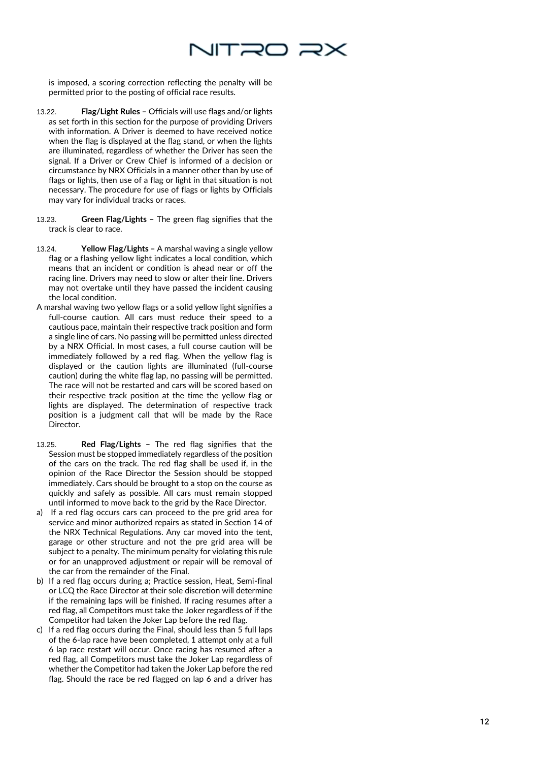

is imposed, a scoring correction reflecting the penalty will be permitted prior to the posting of official race results.

- 13.22. **Flag/Light Rules –** Officials will use flags and/or lights as set forth in this section for the purpose of providing Drivers with information. A Driver is deemed to have received notice when the flag is displayed at the flag stand, or when the lights are illuminated, regardless of whether the Driver has seen the signal. If a Driver or Crew Chief is informed of a decision or circumstance by NRX Officials in a manner other than by use of flags or lights, then use of a flag or light in that situation is not necessary. The procedure for use of flags or lights by Officials may vary for individual tracks or races.
- 13.23. **Green Flag/Lights –** The green flag signifies that the track is clear to race.
- 13.24. **Yellow Flag/Lights –** A marshal waving a single yellow flag or a flashing yellow light indicates a local condition, which means that an incident or condition is ahead near or off the racing line. Drivers may need to slow or alter their line. Drivers may not overtake until they have passed the incident causing the local condition.
- A marshal waving two yellow flags or a solid yellow light signifies a full -course caution. All cars must reduce their speed to a cautious pace, maintain their respective track position and form a single line of cars. No passing will be permitted unless directed by a NRX Official. In most cases, a full course caution will be immediately followed by a red flag. When the yellow flag is displayed or the caution lights are illuminated (full -course caution) during the white flag lap, no passing will be permitted. The race will not be restarted and cars will be scored based on their respective track position at the time the yellow flag or lights are displayed. The determination of respective track position is a judgment call that will be made by the Race Director.
- 13.25. **Red Flag/Lights –** The red flag signifies that the Session must be stopped immediately regardless of the position of the cars on the track. The red flag shall be used if, in the opinion of the Race Director the Session should be stopped immediately. Cars should be brought to a stop on the course as quickly and safely as possible. All cars must remain stopped until informed to move back to the grid by the Race Director.
- a) If a red flag occurs cars can proceed to the pre grid area for service and minor authorized repairs as stated in Section 14 of the NRX Technical Regulations. Any car moved into the tent, garage or other structure and not the pre grid area will be subject to a penalty. The minimum penalty for violating this rule or for an unapproved adjustment or repair will be removal of the car from the remainder of the Final.
- b) If a red flag occurs during a; Practice session, Heat, Semi -final or LCQ the Race Director at their sole discretion will determine if the remaining laps will be finished. If racing resumes after a red flag, all Competitors must take the Joker regardless of if the Competitor had taken the Joker Lap before the red flag.
- c) If a red flag occurs during the Final, should less than 5 full laps of the 6 -lap race have been completed, 1 attempt only at a full 6 lap race restart will occur. Once racing has resumed after a red flag, all Competitors must take the Joker Lap regardless of whether the Competitor had taken the Joker Lap before the red flag. Should the race be red flagged on lap 6 and a driver has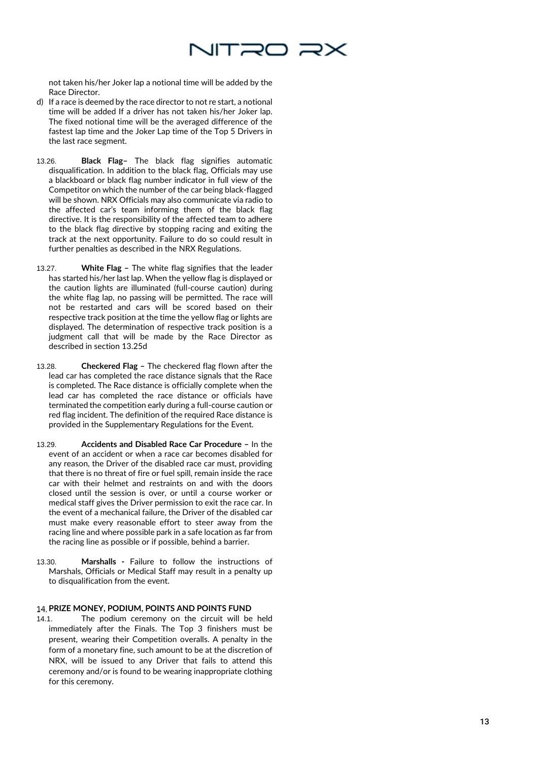

not taken his/her Joker lap a notional time will be added by the Race Director.

- d) If a race is deemed by the race director to not re start, a notional time will be added If a driver has not taken his/her Joker lap. The fixed notional time will be the averaged difference of the fastest lap time and the Joker Lap time of the Top 5 Drivers in the last race segment.
- 13.26. **Black Flag –** The black flag signifies automatic disqualification. In addition to the black flag, Officials may use a blackboard or black flag number indicator in full view of the Competitor on which the number of the car being black -flagged will be shown. NRX Officials may also communicate via radio to the affected car's team informing them of the black flag directive. It is the responsibility of the affected team to adhere to the black flag directive by stopping racing and exiting the track at the next opportunity. Failure to do so could result in further penalties as described in the NRX Regulations.
- 13.27. **White Flag –** The white flag signifies that the leader has started his/her last lap. When the yellow flag is displayed or the caution lights are illuminated (full -course caution) during the white flag lap, no passing will be permitted. The race will not be restarted and cars will be scored based on their respective track position at the time the yellow flag or lights are displayed. The determination of respective track position is a judgment call that will be made by the Race Director as described in section 13.25d
- 13.28. **Checkered Flag –** The checkered flag flown after the lead car has completed the race distance signals that the Race is completed. The Race distance is officially complete when the lead car has completed the race distance or officials have terminated the competition early during a full -course caution or red flag incident. The definition of the required Race distance is provided in the Supplementary Regulations for the Event.
- 13.29. **Accidents and Disabled Race Car Procedure –** In the event of an accident or when a race car becomes disabled for any reason, the Driver of the disabled race car must, providing that there is no threat of fire or fuel spill, remain inside the race car with their helmet and restraints on and with the doors closed until the session is over, or until a course worker or medical staff gives the Driver permission to exit the race car. In the event of a mechanical failure, the Driver of the disabled car must make every reasonable effort to steer away from the racing line and where possible park in a safe location as far from the racing line as possible or if possible, behind a barrier.
- 13.30. **Marshalls -** Failure to follow the instructions of Marshals, Officials or Medical Staff may result in a penalty up to disqualification from the event.

# **PRIZE MONEY, PODIUM, POINTS AND POINTS FUND**

14.1. The podium ceremony on the circuit will be held immediately after the Finals. The Top 3 finishers must be present, wearing their Competition overalls. A penalty in the form of a monetary fine, such amount to be at the discretion of NRX, will be issued to any Driver that fails to attend this ceremony and/or is found to be wearing inappropriate clothing for this ceremony.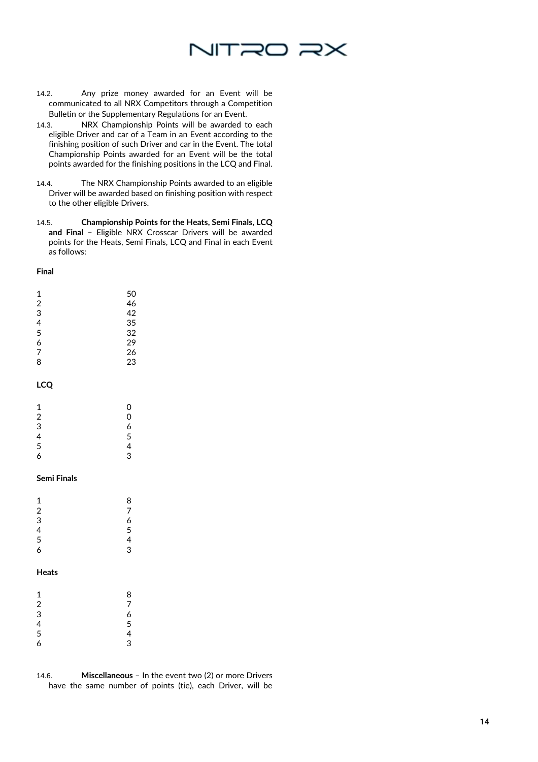# NITRO RX

- 14.2. Any prize money awarded for an Event will be communicated to all NRX Competitors through a Competition Bulletin or the Supplementary Regulations for an Event.
- 14.3. NRX Championship Points will be awarded to each eligible Driver and car of a Team in an Event according to the finishing position of such Driver and car in the Event. The total Championship Points awarded for an Event will be the total points awarded for the finishing positions in the LCQ and Final.
- 14.4. The NRX Championship Points awarded to an eligible Driver will be awarded based on finishing position with respect to the other eligible Drivers.
- 14.5. **Championship Points for the Heats, Semi Finals, LCQ and Final –** Eligible NRX Crosscar Drivers will be awarded points for the Heats, Semi Finals, LCQ and Final in each Event as follows:

#### **Final**

| 50 |
|----|
| 46 |
| 42 |
| 35 |
| 32 |
| 29 |
| 26 |
| 23 |
|    |

# **LCQ**

| 1             | 0 |
|---------------|---|
| $\frac{2}{3}$ | 0 |
|               | 6 |
| $\frac{4}{5}$ | 5 |
|               | 4 |
| 6             | 3 |

## **Semi Finals**

| 1                       | 8 |
|-------------------------|---|
| $\overline{\mathbf{c}}$ | 7 |
| 3                       | 6 |
| $\frac{4}{5}$           | 5 |
|                         | 4 |
| 6                       | 3 |
|                         |   |

# **Heats**

| 1                       | 8 |
|-------------------------|---|
| $\overline{\mathbf{c}}$ | 7 |
| 3                       | 6 |
| 4                       | 5 |
| 5                       | 4 |
| 6                       | 3 |

14.6. **Miscellaneous** – In the event two (2) or more Drivers have the same number of points (tie), each Driver, will be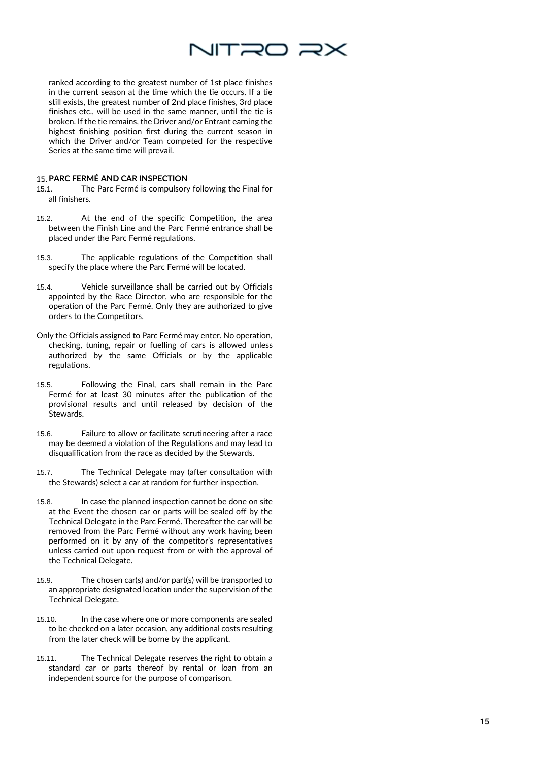

ranked according to the greatest number of 1st place finishes in the current season at the time which the tie occurs. If a tie still exists, the greatest number of 2nd place finishes, 3rd place finishes etc., will be used in the same manner, until the tie is broken. If the tie remains, the Driver and/or Entrant earning the highest finishing position first during the current season in which the Driver and/or Team competed for the respective Series at the same time will prevail.

# **PARC FERMÉ AND CAR INSPECTION**

- 15.1. The Parc Ferm é is compulsory following the Final for all finishers.
- 15.2. At the end of the specific Competition, the area between the Finish Line and the Parc Ferm é entrance shall be placed under the Parc Ferm é regulations.
- 15.3. The applicable regulations of the Competition shall specify the place where the Parc Ferm é will be located.
- 15.4. Vehicle surveillance shall be carried out by Officials appointed by the Race Director, who are responsible for the operation of the Parc Ferm é. Only they are authorized to give orders to the Competitors.
- Only the Officials assigned to Parc Fermé may enter. No operation, checking, tuning, repair or fuelling of cars is allowed unless authorized by the same Officials or by the applicable regulations.
- 15.5. Following the Final, cars shall remain in the Parc Ferm é for at least 30 minutes after the publication of the provisional results and until released by decision of the Stewards.
- 15.6. Failure to allow or facilitate scrutineering after a race may be deemed a violation of the Regulations and may lead to disqualification from the race as decided by the Stewards.
- 15.7. The Technical Delegate may (after consultation with the Stewards) select a car at random for further inspection.
- 15.8. In case the planned inspection cannot be done on site at the Event the chosen car or parts will be sealed off by the Technical Delegate in the Parc Fermé. Thereafter the car will be removed from the Parc Fermé without any work having been performed on it by any of the competitor's representatives unless carried out upon request from or with the approval of the Technical Delegate.
- 15.9. The chosen car(s) and/or part(s) will be transported to an appropriate designated location under the supervision of the Technical Delegate.
- 15.10. In the case where one or more components are sealed to be checked on a later occasion, any additional costs resulting from the later check will be borne by the applicant.
- 15.11. The Technical Delegate reserves the right to obtain a standard car or parts thereof by rental or loan from an independent source for the purpose of comparison.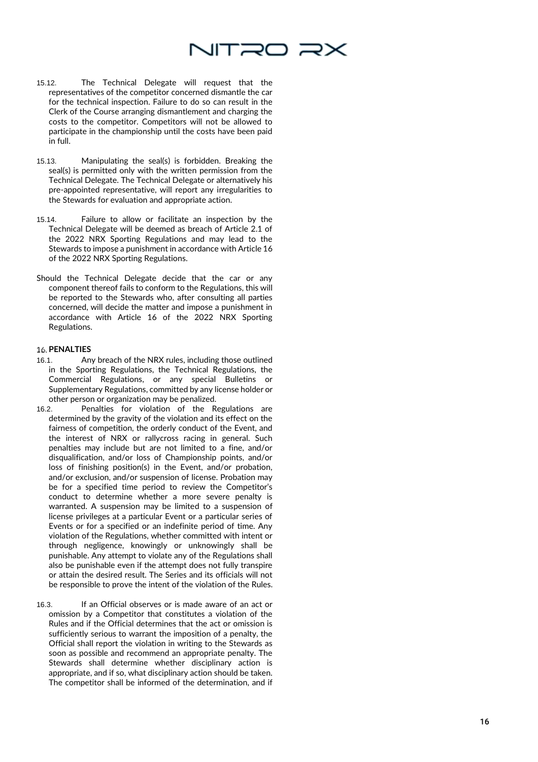

- 15.12. The Technical Delegate will request that the representatives of the competitor concerned dismantle the car for the technical inspection. Failure to do so can result in the Clerk of the Course arranging dismantlement and charging the costs to the competitor. Competitors will not be allowed to participate in the championship until the costs have been paid in full .
- 15.13. Manipulating the seal(s) is forbidden. Breaking the seal(s) is permitted only with the written permission from the Technical Delegate. The Technical Delegate or alternatively his pre -appointed representative, will report any irregularities to the Stewards for evaluation and appropriate action.
- 15.14. Failure to allow or facilitate an inspection by the Technical Delegate will be deemed as breach of Article 2.1 of the 2022 NRX Sporting Regulations and may lead to the Stewards to impose a punishment in accordance with Article 16 of the 2022 NRX Sporting Regulations.
- Should the Technical Delegate decide that the car or any component thereof fails to conform to the Regulations, this will be reported to the Stewards who, after consulting all parties concerned, will decide the matter and impose a punishment in accordance with Article 16 of the 2022 NRX Sporting Regulations.

#### **PENALTIES**

- 16.1. Any breach of the NRX rules, including those outlined in the Sporting Regulations, the Technical Regulations, the Commercial Regulations, or any special Bulletins or Supplementary Regulations, committed by any license holder or other person or organization may be penalized.
- 16.2. Penalties for violation of the Regulations are determined by the gravity of the violation and its effect on the fairness of competition, the orderly conduct of the Event, and the interest of NRX or rallycross racing in general. Such penalties may include but are not limited to a fine, and/or disqualification, and/or loss of Championship points, and/or loss of finishing position(s) in the Event, and/or probation, and/or exclusion, and/or suspension of license. Probation may be for a specified time period to review the Competitor's conduct to determine whether a more severe penalty is warranted. A suspension may be limited to a suspension of license privileges at a particular Event or a particular series of Events or for a specified or an indefinite period of time. Any violation of the Regulations, whether committed with intent or through negligence, knowingly or unknowingly shall be punishable. Any attempt to violate any of the Regulations shall also be punishable even if the attempt does not fully transpire or attain the desired result. The Series and its officials will not be responsible to prove the intent of the violation of the Rules.
- 16.3. If an Official observes or is made aware of an act or omission by a Competitor that constitutes a violation of the Rules and if the Official determines that the act or omission is sufficiently serious to warrant the imposition of a penalty, the Official shall report the violation in writing to the Stewards as soon as possible and recommend an appropriate penalty. The Stewards shall determine whether disciplinary action is appropriate, and if so, what disciplinary action should be taken. The competitor shall be informed of the determination, and if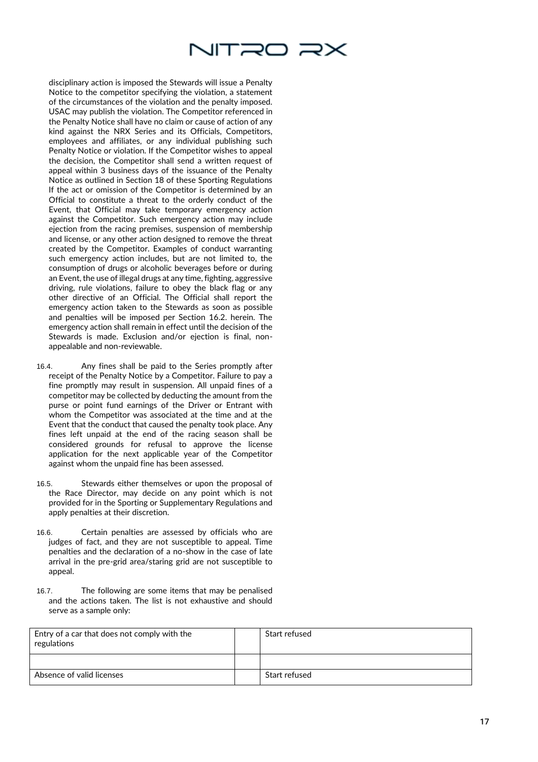

disciplinary action is imposed the Stewards will issue a Penalty Notice to the competitor specifying the violation, a statement of the circumstances of the violation and the penalty imposed. USAC may publish the violation. The Competitor referenced in the Penalty Notice shall have no claim or cause of action of any kind against the NRX Series and its Officials, Competitors, employees and affiliates, or any individual publishing such Penalty Notice or violation. If the Competitor wishes to appeal the decision, the Competitor shall send a written request of appeal within 3 business days of the issuance of the Penalty Notice as outlined in Section 18 of these Sporting Regulations If the act or omission of the Competitor is determined by an Official to constitute a threat to the orderly conduct of the Event, that Official may take temporary emergency action against the Competitor. Such emergency action may include ejection from the racing premises, suspension of membership and license, or any other action designed to remove the threat created by the Competitor. Examples of conduct warranting such emergency action includes, but are not limited to, the consumption of drugs or alcoholic beverages before or during an Event, the use of illegal drugs at any time, fighting, aggressive driving, rule violations, failure to obey the black flag or any other directive of an Official. The Official shall report the emergency action taken to the Stewards as soon as possible and penalties will be imposed per Section 16.2. herein. The emergency action shall remain in effect until the decision of the Stewards is made. Exclusion and/or ejection is final, nonappealable and non-reviewable.

- 16.4. Any fines shall be paid to the Series promptly after receipt of the Penalty Notice by a Competitor. Failure to pay a fine promptly may result in suspension. All unpaid fines of a competitor may be collected by deducting the amount from the purse or point fund earnings of the Driver or Entrant with whom the Competitor was associated at the time and at the Event that the conduct that caused the penalty took place. Any fines left unpaid at the end of the racing season shall be considered grounds for refusal to approve the license application for the next applicable year of the Competitor against whom the unpaid fine has been assessed.
- 16.5. Stewards either themselves or upon the proposal of the Race Director, may decide on any point which is not provided for in the Sporting or Supplementary Regulations and apply penalties at their discretion.
- 16.6. Certain penalties are assessed by officials who are judges of fact, and they are not susceptible to appeal. Time penalties and the declaration of a no-show in the case of late arrival in the pre-grid area/staring grid are not susceptible to appeal.
- 16.7. The following are some items that may be penalised and the actions taken. The list is not exhaustive and should serve as a sample only:

| Entry of a car that does not comply with the<br>regulations | Start refused |
|-------------------------------------------------------------|---------------|
|                                                             |               |
| Absence of valid licenses                                   | Start refused |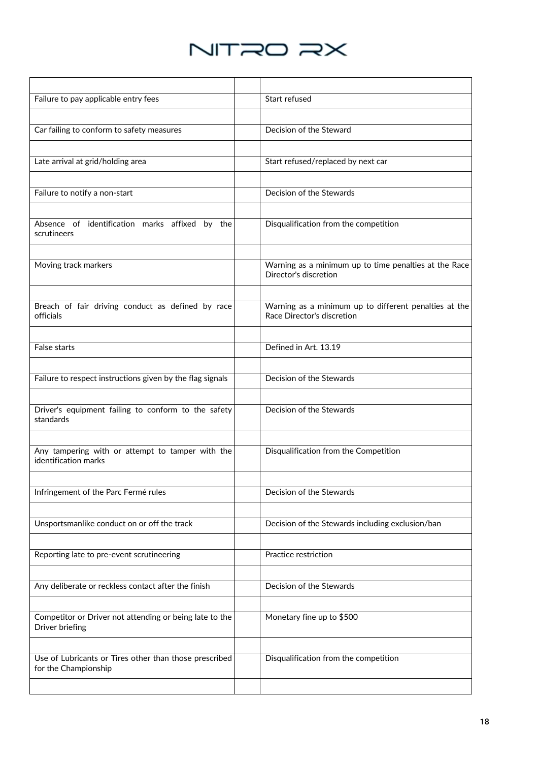

| Failure to pay applicable entry fees                                           | Start refused                                                                       |
|--------------------------------------------------------------------------------|-------------------------------------------------------------------------------------|
|                                                                                |                                                                                     |
| Car failing to conform to safety measures                                      | Decision of the Steward                                                             |
|                                                                                |                                                                                     |
| Late arrival at grid/holding area                                              | Start refused/replaced by next car                                                  |
|                                                                                |                                                                                     |
| Failure to notify a non-start                                                  | Decision of the Stewards                                                            |
|                                                                                |                                                                                     |
| Absence of identification marks affixed by the<br>scrutineers                  | Disqualification from the competition                                               |
|                                                                                |                                                                                     |
| Moving track markers                                                           | Warning as a minimum up to time penalties at the Race<br>Director's discretion      |
|                                                                                |                                                                                     |
| Breach of fair driving conduct as defined by race<br>officials                 | Warning as a minimum up to different penalties at the<br>Race Director's discretion |
|                                                                                |                                                                                     |
| False starts                                                                   | Defined in Art. 13.19                                                               |
|                                                                                |                                                                                     |
| Failure to respect instructions given by the flag signals                      | Decision of the Stewards                                                            |
|                                                                                |                                                                                     |
| Driver's equipment failing to conform to the safety<br>standards               | Decision of the Stewards                                                            |
|                                                                                |                                                                                     |
| Any tampering with or attempt to tamper with the<br>identification marks       | Disqualification from the Competition                                               |
|                                                                                |                                                                                     |
| Infringement of the Parc Fermé rules                                           | Decision of the Stewards                                                            |
|                                                                                |                                                                                     |
| Unsportsmanlike conduct on or off the track                                    | Decision of the Stewards including exclusion/ban                                    |
|                                                                                |                                                                                     |
| Reporting late to pre-event scrutineering                                      | Practice restriction                                                                |
|                                                                                |                                                                                     |
| Any deliberate or reckless contact after the finish                            | Decision of the Stewards                                                            |
|                                                                                |                                                                                     |
| Competitor or Driver not attending or being late to the<br>Driver briefing     | Monetary fine up to \$500                                                           |
|                                                                                |                                                                                     |
| Use of Lubricants or Tires other than those prescribed<br>for the Championship | Disqualification from the competition                                               |
|                                                                                |                                                                                     |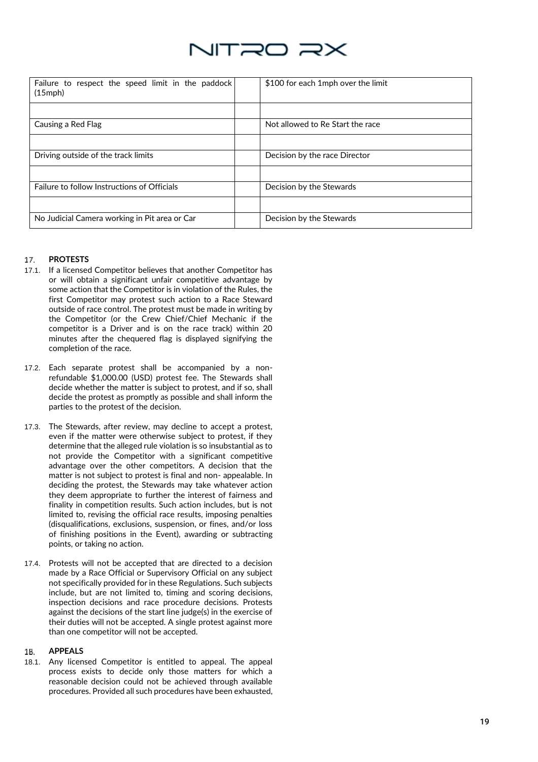

| Failure to respect the speed limit in the paddock<br>$(15$ mph $)$ | \$100 for each 1mph over the limit |
|--------------------------------------------------------------------|------------------------------------|
|                                                                    |                                    |
| Causing a Red Flag                                                 | Not allowed to Re Start the race   |
|                                                                    |                                    |
| Driving outside of the track limits                                | Decision by the race Director      |
|                                                                    |                                    |
| Failure to follow Instructions of Officials                        | Decision by the Stewards           |
|                                                                    |                                    |
| No Judicial Camera working in Pit area or Car                      | Decision by the Stewards           |

#### **PROTESTS**  17.

- 17.1. If a licensed Competitor believes that another Competitor has or will obtain a significant unfair competitive advantage by some action that the Competitor is in violation of the Rules, the first Competitor may protest such action to a Race Steward outside of race control. The protest must be made in writing by the Competitor (or the Crew Chief/Chief Mechanic if the competitor is a Driver and is on the race track) within 20 minutes after the chequered flag is displayed signifying the completion of the race.
- 17.2. Each separate protest shall be accompanied by a nonrefundable \$1,000.00 (USD) protest fee. The Stewards shall decide whether the matter is subject to protest, and if so, shall decide the protest as promptly as possible and shall inform the parties to the protest of the decision.
- 17.3. The Stewards, after review, may decline to accept a protest, even if the matter were otherwise subject to protest, if they determine that the alleged rule violation is so insubstantial as to not provide the Competitor with a significant competitive advantage over the other competitors. A decision that the matter is not subject to protest is final and non- appealable. In deciding the protest, the Stewards may take whatever action they deem appropriate to further the interest of fairness and finality in competition results. Such action includes, but is not limited to, revising the official race results, imposing penalties (disqualifications, exclusions, suspension, or fines, and/or loss of finishing positions in the Event), awarding or subtracting points, or taking no action.
- 17.4. Protests will not be accepted that are directed to a decision made by a Race Official or Supervisory Official on any subject not specifically provided for in these Regulations. Such subjects include, but are not limited to, timing and scoring decisions, inspection decisions and race procedure decisions. Protests against the decisions of the start line judge(s) in the exercise of their duties will not be accepted. A single protest against more than one competitor will not be accepted.

#### **APPEALS**  18.

18.1. Any licensed Competitor is entitled to appeal. The appeal process exists to decide only those matters for which a reasonable decision could not be achieved through available procedures. Provided all such procedures have been exhausted,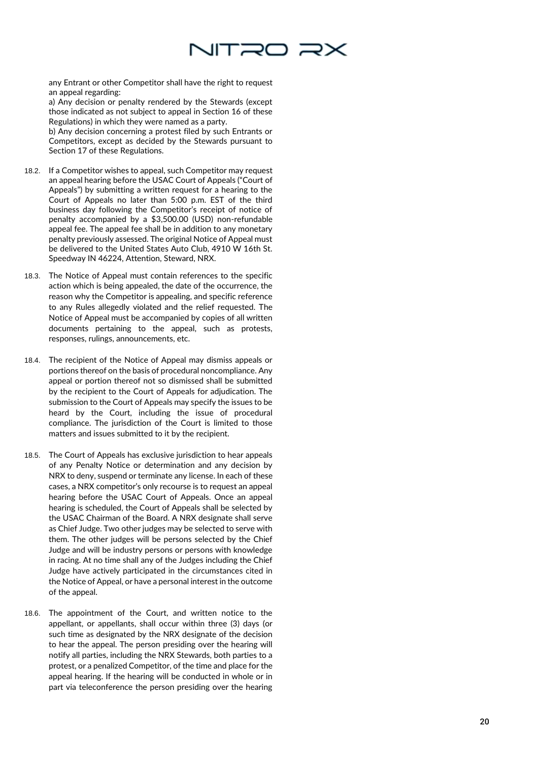

any Entrant or other Competitor shall have the right to request an appeal regarding:

a) Any decision or penalty rendered by the Stewards (except those indicated as not subject to appeal in Section 16 of these Regulations) in which they were named as a party.

b) Any decision concerning a protest filed by such Entrants or Competitors, except as decided by the Stewards pursuant to Section 17 of these Regulations.

- 18.2. If a Competitor wishes to appeal, such Competitor may request an appeal hearing before the USAC Court of Appeals ("Court of Appeals") by submitting a written request for a hearing to the Court of Appeals no later than 5:00 p.m. EST of the third business day following the Competitor's receipt of notice of penalty accompanied by a \$3,500.00 (USD) non -refundable appeal fee. The appeal fee shall be in addition to any monetary penalty previously assessed. The original Notice of Appeal must be delivered to the United States Auto Club, 4910 W 16th St. Speedway IN 46224, Attention, Steward, NRX.
- 18.3. The Notice of Appeal must contain references to the specific action which is being appealed, the date of the occurrence, the reason why the Competitor is appealing, and specific reference to any Rules allegedly violated and the relief requested. The Notice of Appeal must be accompanied by copies of all written documents pertaining to the appeal, such as protests, responses, rulings, announcements, etc.
- 18.4. The recipient of the Notice of Appeal may dismiss appeals or portions thereof on the basis of procedural noncompliance. Any appeal or portion thereof not so dismissed shall be submitted by the recipient to the Court of Appeals for adjudication. The submission to the Court of Appeals may specify the issues to be heard by the Court, including the issue of procedural compliance. The jurisdiction of the Court is limited to those matters and issues submitted to it by the recipient.
- 18.5. The Court of Appeals has exclusive jurisdiction to hear appeals of any Penalty Notice or determination and any decision by NRX to deny, suspend or terminate any license. In each of these cases, a NRX competitor's only recourse is to request an appeal hearing before the USAC Court of Appeals. Once an appeal hearing is scheduled, the Court of Appeals shall be selected by the USAC Chairman of the Board. A NRX designate shall serve as Chief Judge. Two other judges may be selected to serve with them. The other judges will be persons selected by the Chief Judge and will be industry persons or persons with knowledge in racing. At no time shall any of the Judges including the Chief Judge have actively participated in the circumstances cited in the Notice of Appeal, or have a personal interest in the outcome of the appeal.
- 18.6. The appointment of the Court, and written notice to the appellant, or appellants, shall occur within three (3) days (or such time as designated by the NRX designate of the decision to hear the appeal. The person presiding over the hearing will notify all parties, including the NRX Stewards, both parties to a protest, or a penalized Competitor, of the time and place for the appeal hearing. If the hearing will be conducted in whole or in part via teleconference the person presiding over the hearing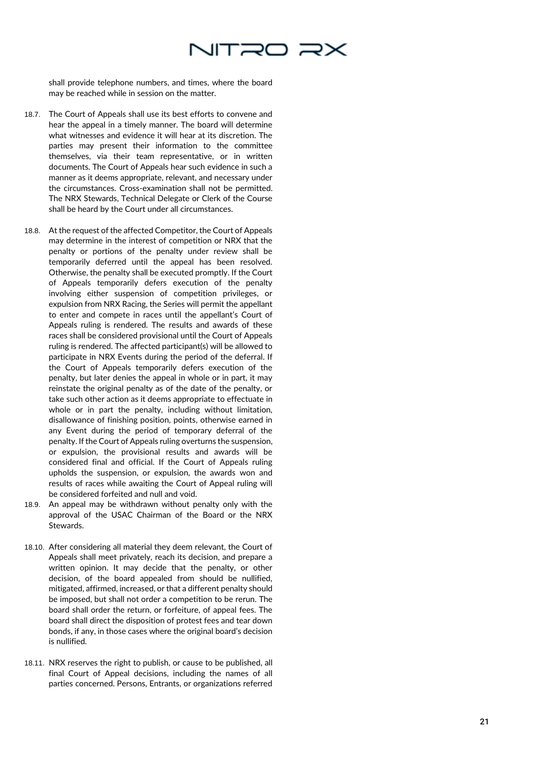

shall provide telephone numbers, and times, where the board may be reached while in session on the matter.

- 18.7. The Court of Appeals shall use its best efforts to convene and hear the appeal in a timely manner. The board will determine what witnesses and evidence it will hear at its discretion. The parties may present their information to the committee themselves, via their team representative, or in written documents. The Court of Appeals hear such evidence in such a manner as it deems appropriate, relevant, and necessary under the circumstances. Cross -examination shall not be permitted. The NRX Stewards, Technical Delegate or Clerk of the Course shall be heard by the Court under all circumstances.
- 18.8. At the request of the affected Competitor, the Court of Appeals may determine in the interest of competition or NRX that the penalty or portions of the penalty under review shall be temporarily deferred until the appeal has been resolved. Otherwise, the penalty shall be executed promptly. If the Court of Appeals temporarily defers execution of the penalty involving either suspension of competition privileges, or expulsion from NRX Racing, the Series will permit the appellant to enter and compete in races until the appellant's Court of Appeals ruling is rendered. The results and awards of these races shall be considered provisional until the Court of Appeals ruling is rendered. The affected participant(s) will be allowed to participate in NRX Events during the period of the deferral. If the Court of Appeals temporarily defers execution of the penalty, but later denies the appeal in whole or in part, it may reinstate the original penalty as of the date of the penalty, or take such other action as it deems appropriate to effectuate in whole or in part the penalty, including without limitation, disallowance of finishing position, points, otherwise earned in any Event during the period of temporary deferral of the penalty. If the Court of Appeals ruling overturns the suspension, or expulsion, the provisional results and awards will be considered final and official. If the Court of Appeals ruling upholds the suspension, or expulsion, the awards won and results of races while awaiting the Court of Appeal ruling will be considered forfeited and null and void.
- 18.9. An appeal may be withdrawn without penalty only with the approval of the USAC Chairman of the Board or the NRX Stewards.
- 18.10. After considering all material they deem relevant, the Court of Appeals shall meet privately, reach its decision, and prepare a written opinion. It may decide that the penalty, or other decision, of the board appealed from should be nullified, mitigated, affirmed, increased, or that a different penalty should be imposed, but shall not order a competition to be rerun. The board shall order the return, or forfeiture, of appeal fees. The board shall direct the disposition of protest fees and tear down bonds, if any, in those cases where the original board's decision is nullified.
- 18.11. NRX reserves the right to publish, or cause to be published, all final Court of Appeal decisions, including the names of all parties concerned. Persons, Entrants, or organizations referred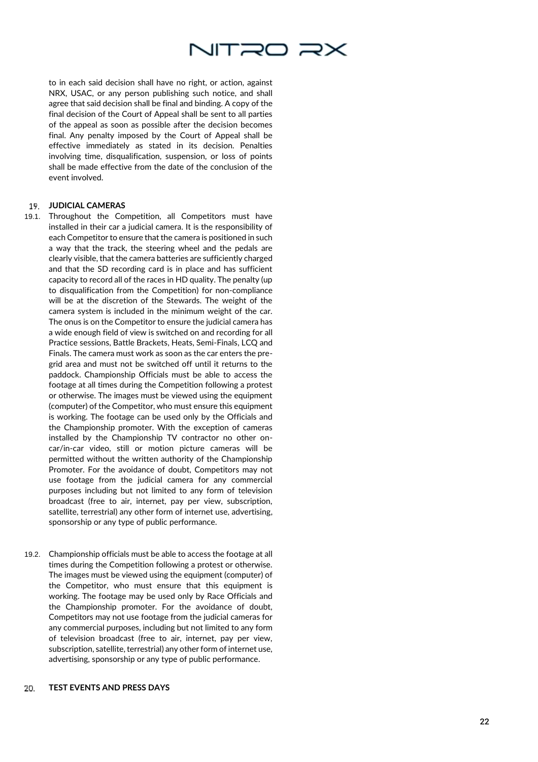

to in each said decision shall have no right, or action, against NRX, USAC, or any person publishing such notice, and shall agree that said decision shall be final and binding. A copy of the final decision of the Court of Appeal shall be sent to all parties of the appeal as soon as possible after the decision becomes final. Any penalty imposed by the Court of Appeal shall be effective immediately as stated in its decision. Penalties involving time, disqualification, suspension, or loss of points shall be made effective from the date of the conclusion of the event involved.

# **JUDICIAL CAMERAS**

- 19.1. Throughout the Competition, all Competitors must have installed in their car a judicial camera. It is the responsibility of each Competitor to ensure that the camera is positioned in such a way that the track, the steering wheel and the pedals are clearly visible, that the camera batteries are sufficiently charged and that the SD recording card is in place and has sufficient capacity to record all of the races in HD quality. The penalty (up to disqualification from the Competition) for non -compliance will be at the discretion of the Stewards. The weight of the camera system is included in the minimum weight of the car. The onus is on the Competitor to ensure the judicial camera has a wide enough field of view is switched on and recording for all Practice sessions, Battle Brackets, Heats, Semi -Finals, LCQ and Finals. The camera must work as soon as the car enters the pre grid area and must not be switched off until it returns to the paddock. Championship Officials must be able to access the footage at all times during the Competition following a protest or otherwise. The images must be viewed using the equipment (computer) of the Competitor, who must ensure this equipment is working. The footage can be used only by the Officials and the Championship promoter. With the exception of cameras installed by the Championship TV contractor no other on car/in -car video, still or motion picture cameras will be permitted without the written authority of the Championship Promoter. For the avoidance of doubt, Competitors may not use footage from the judicial camera for any commercial purposes including but not limited to any form of television broadcast (free to air, internet, pay per view, subscription, satellite, terrestrial) any other form of internet use, advertising, sponsorship or any type of public performance.
- 19.2. Championship officials must be able to access the footage at all times during the Competition following a protest or otherwise. The images must be viewed using the equipment (computer) of the Competitor, who must ensure that this equipment is working. The footage may be used only by Race Officials and the Championship promoter. For the avoidance of doubt, Competitors may not use footage from the judicial cameras for any commercial purposes, including but not limited to any form of television broadcast (free to air, internet, pay per view, subscription, satellite, terrestrial) any other form of internet use, advertising, sponsorship or any type of public performance.

#### **TEST EVENTS AND PRESS DAYS** 20.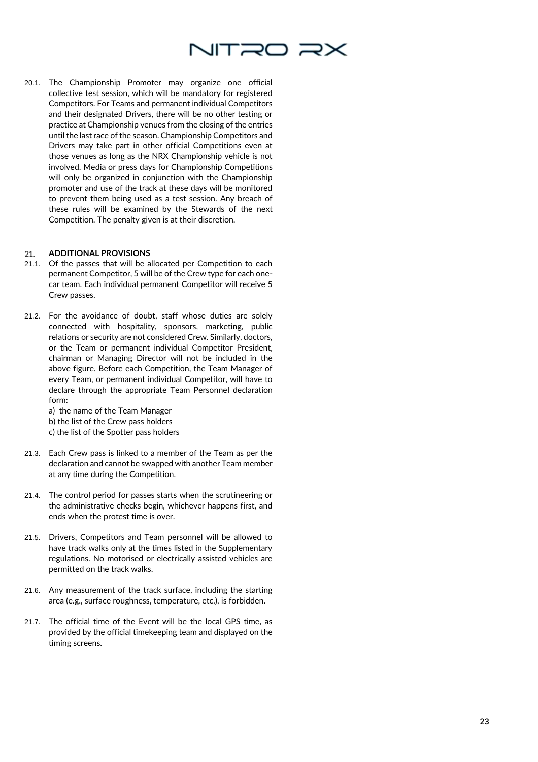

20.1. The Championship Promoter may organize one official collective test session, which will be mandatory for registered Competitors. For Teams and permanent individual Competitors and their designated Drivers, there will be no other testing or practice at Championship venues from the closing of the entries until the last race of the season. Championship Competitors and Drivers may take part in other official Competitions even at those venues as long as the NRX Championship vehicle is not involved. Media or press days for Championship Competitions will only be organized in conjunction with the Championship promoter and use of the track at these days will be monitored to prevent them being used as a test session. Any breach of these rules will be examined by the Stewards of the next Competition. The penalty given is at their discretion.

#### **ADDITIONAL PROVISIONS**  21.

- 21.1. Of the passes that will be allocated per Competition to each permanent Competitor, 5 will be of the Crew type for each onecar team. Each individual permanent Competitor will receive 5 Crew passes.
- 21.2. For the avoidance of doubt, staff whose duties are solely connected with hospitality, sponsors, marketing, public relations or security are not considered Crew. Similarly, doctors, or the Team or permanent individual Competitor President, chairman or Managing Director will not be included in the above figure. Before each Competition, the Team Manager of every Team, or permanent individual Competitor, will have to declare through the appropriate Team Personnel declaration form:

a) the name of the Team Manager

- b) the list of the Crew pass holders
- c) the list of the Spotter pass holders
- 21.3. Each Crew pass is linked to a member of the Team as per the declaration and cannot be swapped with another Team member at any time during the Competition.
- 21.4. The control period for passes starts when the scrutineering or the administrative checks begin, whichever happens first, and ends when the protest time is over.
- 21.5. Drivers, Competitors and Team personnel will be allowed to have track walks only at the times listed in the Supplementary regulations. No motorised or electrically assisted vehicles are permitted on the track walks.
- 21.6. Any measurement of the track surface, including the starting area (e.g., surface roughness, temperature, etc.), is forbidden.
- 21.7. The official time of the Event will be the local GPS time, as provided by the official timekeeping team and displayed on the timing screens.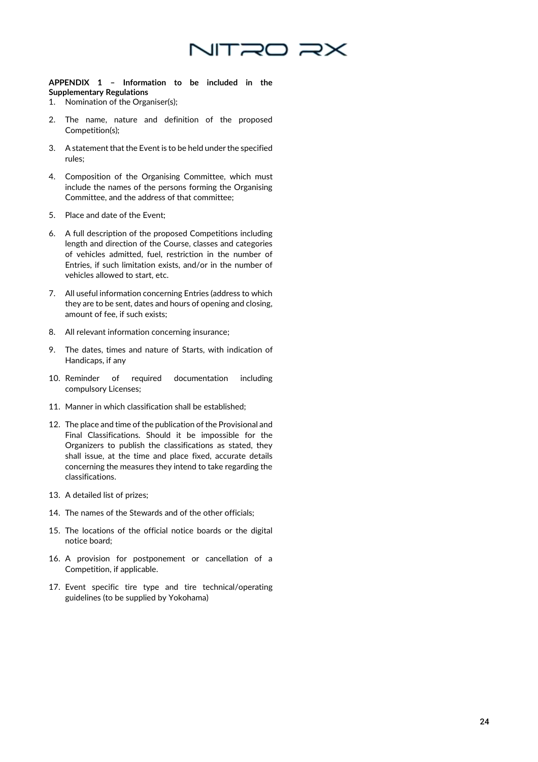

**APPENDIX 1 – Information to be included in the Supplementary Regulations**

- 1. Nomination of the Organiser(s);
- 2. The name, nature and definition of the proposed Competition(s);
- 3. A statement that the Event is to be held under the specified rules;
- 4. Composition of the Organising Committee, which must include the names of the persons forming the Organising Committee, and the address of that committee;
- 5. Place and date of the Event;
- 6. A full description of the proposed Competitions including length and direction of the Course, classes and categories of vehicles admitted, fuel, restriction in the number of Entries, if such limitation exists, and/or in the number of vehicles allowed to start, etc.
- 7. All useful information concerning Entries (address to which they are to be sent, dates and hours of opening and closing, amount of fee, if such exists;
- 8. All relevant information concerning insurance;
- 9. The dates, times and nature of Starts, with indication of Handicaps, if any
- 10. Reminder of required documentation including compulsory Licenses;
- 11. Manner in which classification shall be established;
- 12. The place and time of the publication of the Provisional and Final Classifications. Should it be impossible for the Organizers to publish the classifications as stated, they shall issue, at the time and place fixed, accurate details concerning the measures they intend to take regarding the classifications.
- 13. A detailed list of prizes;
- 14. The names of the Stewards and of the other officials;
- 15. The locations of the official notice boards or the digital notice board;
- 16. A provision for postponement or cancellation of a Competition, if applicable.
- 17. Event specific tire type and tire technical/operating guidelines (to be supplied by Yokohama)